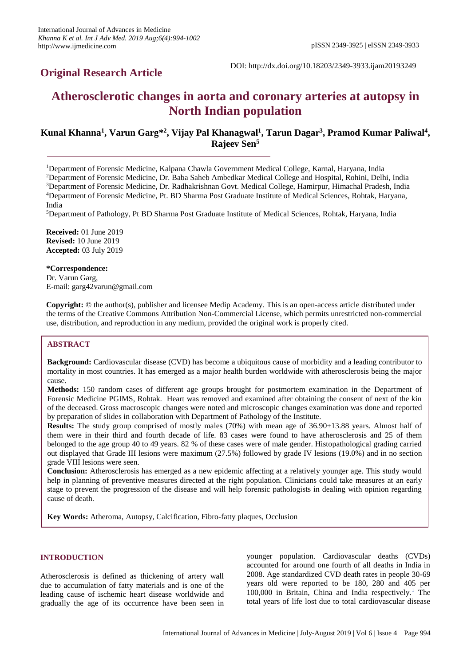# **Original Research Article**

DOI: http://dx.doi.org/10.18203/2349-3933.ijam20193249

# **Atherosclerotic changes in aorta and coronary arteries at autopsy in North Indian population**

## **Kunal Khanna<sup>1</sup> , Varun Garg\* 2 , Vijay Pal Khanagwal<sup>1</sup> , Tarun Dagar<sup>3</sup> , Pramod Kumar Paliwal<sup>4</sup> , Rajeev Sen<sup>5</sup>**

<sup>1</sup>Department of Forensic Medicine, Kalpana Chawla Government Medical College, Karnal, Haryana, India

Department of Forensic Medicine, Dr. Baba Saheb Ambedkar Medical College and Hospital, Rohini, Delhi, India Department of Forensic Medicine, Dr. Radhakrishnan Govt. Medical College, Hamirpur, Himachal Pradesh, India Department of Forensic Medicine, Pt. BD Sharma Post Graduate Institute of Medical Sciences, Rohtak, Haryana, India

<sup>5</sup>Department of Pathology, Pt BD Sharma Post Graduate Institute of Medical Sciences, Rohtak, Haryana, India

**Received:** 01 June 2019 **Revised:** 10 June 2019 **Accepted:** 03 July 2019

#### **\*Correspondence:**

Dr. Varun Garg, E-mail: garg42varun@gmail.com

**Copyright:** © the author(s), publisher and licensee Medip Academy. This is an open-access article distributed under the terms of the Creative Commons Attribution Non-Commercial License, which permits unrestricted non-commercial use, distribution, and reproduction in any medium, provided the original work is properly cited.

## **ABSTRACT**

**Background:** Cardiovascular disease (CVD) has become a ubiquitous cause of morbidity and a leading contributor to mortality in most countries. It has emerged as a major health burden worldwide with atherosclerosis being the major cause.

**Methods:** 150 random cases of different age groups brought for postmortem examination in the Department of Forensic Medicine PGIMS, Rohtak. Heart was removed and examined after obtaining the consent of next of the kin of the deceased. Gross macroscopic changes were noted and microscopic changes examination was done and reported by preparation of slides in collaboration with Department of Pathology of the Institute.

**Results:** The study group comprised of mostly males (70%) with mean age of 36.90±13.88 years. Almost half of them were in their third and fourth decade of life. 83 cases were found to have atherosclerosis and 25 of them belonged to the age group 40 to 49 years. 82 % of these cases were of male gender. Histopathological grading carried out displayed that Grade III lesions were maximum (27.5%) followed by grade IV lesions (19.0%) and in no section grade VIII lesions were seen.

**Conclusion:** Atherosclerosis has emerged as a new epidemic affecting at a relatively younger age. This study would help in planning of preventive measures directed at the right population. Clinicians could take measures at an early stage to prevent the progression of the disease and will help forensic pathologists in dealing with opinion regarding cause of death.

**Key Words:** Atheroma, Autopsy, Calcification, Fibro-fatty plaques, Occlusion

#### **INTRODUCTION**

Atherosclerosis is defined as thickening of artery wall due to accumulation of fatty materials and is one of the leading cause of ischemic heart disease worldwide and gradually the age of its occurrence have been seen in younger population. Cardiovascular deaths (CVDs) accounted for around one fourth of all deaths in India in 2008. Age standardized CVD death rates in people 30-69 years old were reported to be 180, 280 and 405 per 100,000 in Britain, China and India respectively. <sup>1</sup> The total years of life lost due to total cardiovascular disease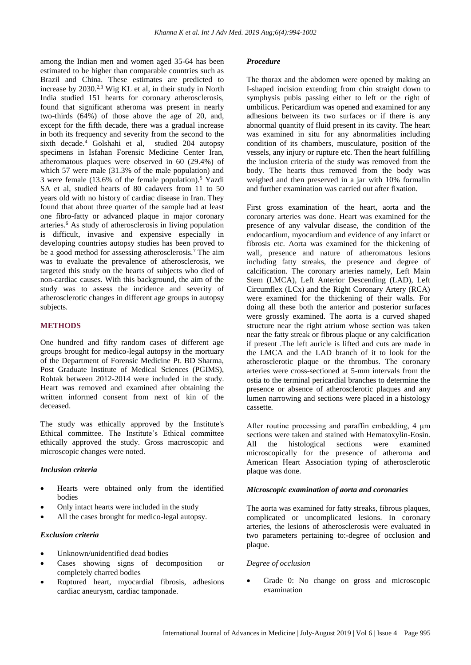among the Indian men and women aged 35-64 has been estimated to be higher than comparable countries such as Brazil and China. These estimates are predicted to increase by 2030.2,3 Wig KL et al, in their study in North India studied 151 hearts for coronary atherosclerosis, found that significant atheroma was present in nearly two-thirds (64%) of those above the age of 20, and, except for the fifth decade, there was a gradual increase in both its frequency and severity from the second to the sixth decade.<sup>4</sup> Golshahi et al, studied 204 autopsy specimens in Isfahan Forensic Medicine Center Iran, atheromatous plaques were observed in 60 (29.4%) of which 57 were male (31.3% of the male population) and 3 were female (13.6% of the female population).<sup>5</sup> Yazdi SA et al, studied hearts of 80 cadavers from 11 to 50 years old with no history of cardiac disease in Iran. They found that about three quarter of the sample had at least one fibro-fatty or advanced plaque in major coronary arteries.<sup>6</sup> As study of atherosclerosis in living population is difficult, invasive and expensive especially in developing countries autopsy studies has been proved to be a good method for assessing atherosclerosis.<sup>7</sup> The aim was to evaluate the prevalence of atherosclerosis, we targeted this study on the hearts of subjects who died of non-cardiac causes. With this background, the aim of the study was to assess the incidence and severity of atherosclerotic changes in different age groups in autopsy subjects.

#### **METHODS**

One hundred and fifty random cases of different age groups brought for medico-legal autopsy in the mortuary of the Department of Forensic Medicine Pt. BD Sharma, Post Graduate Institute of Medical Sciences (PGIMS), Rohtak between 2012-2014 were included in the study. Heart was removed and examined after obtaining the written informed consent from next of kin of the deceased.

The study was ethically approved by the Institute's Ethical committee. The Institute's Ethical committee ethically approved the study. Gross macroscopic and microscopic changes were noted.

#### *Inclusion criteria*

- Hearts were obtained only from the identified bodies
- Only intact hearts were included in the study
- All the cases brought for medico-legal autopsy.

## *Exclusion criteria*

- Unknown/unidentified dead bodies
- Cases showing signs of decomposition or completely charred bodies
- Ruptured heart, myocardial fibrosis, adhesions cardiac aneurysm, cardiac tamponade.

#### *Procedure*

The thorax and the abdomen were opened by making an I-shaped incision extending from chin straight down to symphysis pubis passing either to left or the right of umbilicus. Pericardium was opened and examined for any adhesions between its two surfaces or if there is any abnormal quantity of fluid present in its cavity. The heart was examined in situ for any abnormalities including condition of its chambers, musculature, position of the vessels, any injury or rupture etc. Then the heart fulfilling the inclusion criteria of the study was removed from the body. The hearts thus removed from the body was weighed and then preserved in a jar with 10% formalin and further examination was carried out after fixation.

First gross examination of the heart, aorta and the coronary arteries was done. Heart was examined for the presence of any valvular disease, the condition of the endocardium, myocardium and evidence of any infarct or fibrosis etc. Aorta was examined for the thickening of wall, presence and nature of atheromatous lesions including fatty streaks, the presence and degree of calcification. The coronary arteries namely, Left Main Stem (LMCA), Left Anterior Descending (LAD), Left Circumflex (LCx) and the Right Coronary Artery (RCA) were examined for the thickening of their walls. For doing all these both the anterior and posterior surfaces were grossly examined. The aorta is a curved shaped structure near the right atrium whose section was taken near the fatty streak or fibrous plaque or any calcification if present .The left auricle is lifted and cuts are made in the LMCA and the LAD branch of it to look for the atherosclerotic plaque or the thrombus. The coronary arteries were cross-sectioned at 5-mm intervals from the ostia to the terminal pericardial branches to determine the presence or absence of atherosclerotic plaques and any lumen narrowing and sections were placed in a histology cassette.

After routine processing and paraffin embedding, 4  $\mu$ m sections were taken and stained with Hematoxylin-Eosin. All the histological sections were examined microscopically for the presence of atheroma and American Heart Association typing of atherosclerotic plaque was done.

#### *Microscopic examination of aorta and coronaries*

The aorta was examined for fatty streaks, fibrous plaques, complicated or uncomplicated lesions. In coronary arteries, the lesions of atherosclerosis were evaluated in two parameters pertaining to:-degree of occlusion and plaque.

#### *Degree of occlusion*

• Grade 0: No change on gross and microscopic examination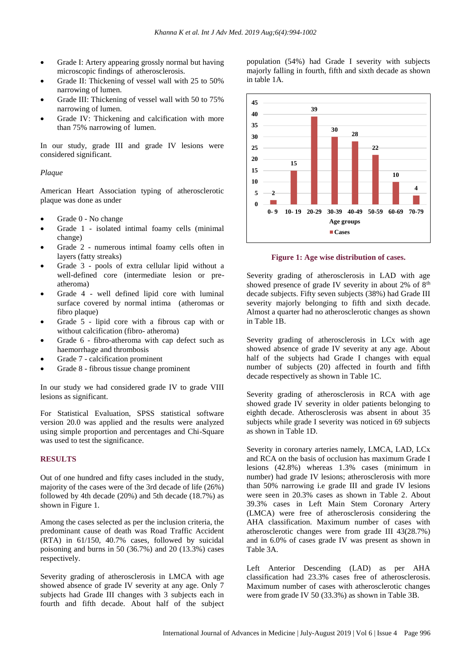- Grade I: Artery appearing grossly normal but having microscopic findings of atherosclerosis.
- Grade II: Thickening of vessel wall with 25 to 50% narrowing of lumen.
- Grade III: Thickening of vessel wall with 50 to 75% narrowing of lumen.
- Grade IV: Thickening and calcification with more than 75% narrowing of lumen.

In our study, grade III and grade IV lesions were considered significant.

#### *Plaque*

American Heart Association typing of atherosclerotic plaque was done as under

- Grade 0 No change
- Grade 1 isolated intimal foamy cells (minimal change)
- Grade 2 numerous intimal foamy cells often in layers (fatty streaks)
- Grade 3 pools of extra cellular lipid without a well-defined core (intermediate lesion or preatheroma)
- Grade 4 well defined lipid core with luminal surface covered by normal intima (atheromas or fibro plaque)
- Grade 5 lipid core with a fibrous cap with or without calcification (fibro- atheroma)
- Grade 6 fibro-atheroma with cap defect such as haemorrhage and thrombosis
- Grade 7 calcification prominent
- Grade 8 fibrous tissue change prominent

In our study we had considered grade IV to grade VIII lesions as significant.

For Statistical Evaluation, SPSS statistical software version 20.0 was applied and the results were analyzed using simple proportion and percentages and Chi-Square was used to test the significance.

#### **RESULTS**

Out of one hundred and fifty cases included in the study, majority of the cases were of the 3rd decade of life (26%) followed by 4th decade (20%) and 5th decade (18.7%) as shown in Figure 1.

Among the cases selected as per the inclusion criteria, the predominant cause of death was Road Traffic Accident (RTA) in 61/150, 40.7% cases, followed by suicidal poisoning and burns in 50 (36.7%) and 20 (13.3%) cases respectively.

Severity grading of atherosclerosis in LMCA with age showed absence of grade IV severity at any age. Only 7 subjects had Grade III changes with 3 subjects each in fourth and fifth decade. About half of the subject population (54%) had Grade I severity with subjects majorly falling in fourth, fifth and sixth decade as shown in table 1A.



**Figure 1: Age wise distribution of cases.**

Severity grading of atherosclerosis in LAD with age showed presence of grade IV severity in about 2% of  $8<sup>th</sup>$ decade subjects. Fifty seven subjects (38%) had Grade III severity majorly belonging to fifth and sixth decade. Almost a quarter had no atherosclerotic changes as shown in Table 1B.

Severity grading of atherosclerosis in LCx with age showed absence of grade IV severity at any age. About half of the subjects had Grade I changes with equal number of subjects (20) affected in fourth and fifth decade respectively as shown in Table 1C.

Severity grading of atherosclerosis in RCA with age showed grade IV severity in older patients belonging to eighth decade. Atherosclerosis was absent in about 35 subjects while grade I severity was noticed in 69 subjects as shown in Table 1D.

Severity in coronary arteries namely, LMCA, LAD, LCx and RCA on the basis of occlusion has maximum Grade I lesions (42.8%) whereas 1.3% cases (minimum in number) had grade IV lesions; atherosclerosis with more than 50% narrowing i.e grade III and grade IV lesions were seen in 20.3% cases as shown in Table 2. About 39.3% cases in Left Main Stem Coronary Artery (LMCA) were free of atherosclerosis considering the AHA classification. Maximum number of cases with atherosclerotic changes were from grade III 43(28.7%) and in 6.0% of cases grade IV was present as shown in Table 3A.

Left Anterior Descending (LAD) as per AHA classification had 23.3% cases free of atherosclerosis. Maximum number of cases with atherosclerotic changes were from grade IV 50 (33.3%) as shown in Table 3B.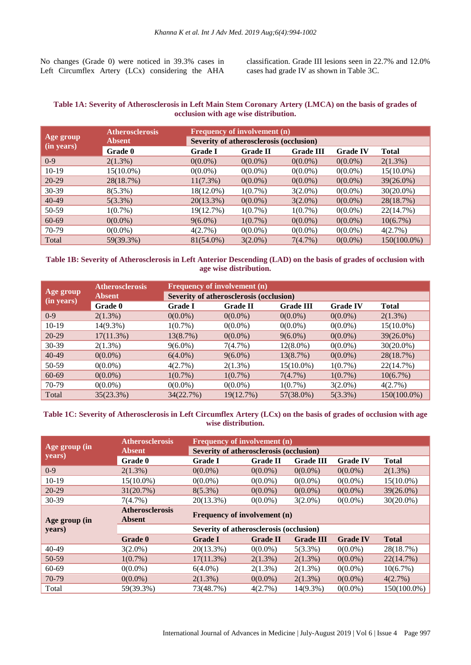No changes (Grade 0) were noticed in 39.3% cases in Left Circumflex Artery (LCx) considering the AHA classification. Grade III lesions seen in 22.7% and 12.0% cases had grade IV as shown in Table 3C.

## **Table 1A: Severity of Atherosclerosis in Left Main Stem Coronary Artery (LMCA) on the basis of grades of occlusion with age wise distribution.**

|                         | <b>Atherosclerosis</b> | <b>Frequency of involvement (n)</b>     |                 |                  |                 |              |  |  |  |
|-------------------------|------------------------|-----------------------------------------|-----------------|------------------|-----------------|--------------|--|--|--|
| Age group<br>(in years) | <b>Absent</b>          | Severity of atherosclerosis (occlusion) |                 |                  |                 |              |  |  |  |
|                         | Grade 0                | <b>Grade I</b>                          | <b>Grade II</b> | <b>Grade III</b> | <b>Grade IV</b> | <b>Total</b> |  |  |  |
| $0-9$                   | $2(1.3\%)$             | $0(0.0\%)$                              | $0(0.0\%)$      | $0(0.0\%)$       | $0(0.0\%)$      | $2(1.3\%)$   |  |  |  |
| $10-19$                 | 15(10.0%)              | $0(0.0\%)$                              | $0(0.0\%)$      | $0(0.0\%)$       | $0(0.0\%)$      | $15(10.0\%)$ |  |  |  |
| $20-29$                 | 28(18.7%)              | $11(7.3\%)$                             | $0(0.0\%)$      | $0(0.0\%)$       | $0(0.0\%)$      | 39(26.0%)    |  |  |  |
| $30-39$                 | $8(5.3\%)$             | 18(12.0%)                               | $1(0.7\%)$      | $3(2.0\%)$       | $0(0.0\%)$      | $30(20.0\%)$ |  |  |  |
| $40-49$                 | $5(3.3\%)$             | 20(13.3%)                               | $0(0.0\%)$      | $3(2.0\%)$       | $0(0.0\%)$      | 28(18.7%)    |  |  |  |
| 50-59                   | $1(0.7\%)$             | 19(12.7%)                               | $1(0.7\%)$      | $1(0.7\%)$       | $0(0.0\%)$      | 22(14.7%)    |  |  |  |
| 60-69                   | $0(0.0\%)$             | $9(6.0\%)$                              | $1(0.7\%)$      | $0(0.0\%)$       | $0(0.0\%)$      | 10(6.7%)     |  |  |  |
| 70-79                   | $0(0.0\%)$             | 4(2.7%)                                 | $0(0.0\%)$      | $0(0.0\%)$       | $0(0.0\%)$      | 4(2.7%)      |  |  |  |
| Total                   | 59(39.3%)              | 81(54.0%)                               | $3(2.0\%)$      | 7(4.7%)          | $0(0.0\%)$      | 150(100.0%)  |  |  |  |

#### **Table 1B: Severity of Atherosclerosis in Left Anterior Descending (LAD) on the basis of grades of occlusion with age wise distribution.**

|            | <b>Atherosclerosis</b> |                | Frequency of involvement (n)            |                  |                 |              |  |  |  |  |
|------------|------------------------|----------------|-----------------------------------------|------------------|-----------------|--------------|--|--|--|--|
| Age group  | <b>Absent</b>          |                | Severity of atherosclerosis (occlusion) |                  |                 |              |  |  |  |  |
| (in years) | Grade 0                | <b>Grade I</b> | <b>Grade II</b>                         | <b>Grade III</b> | <b>Grade IV</b> | <b>Total</b> |  |  |  |  |
| $0-9$      | $2(1.3\%)$             | $0(0.0\%)$     | $0(0.0\%)$                              | $0(0.0\%)$       | $0(0.0\%)$      | $2(1.3\%)$   |  |  |  |  |
| $10-19$    | 14(9.3%)               | $1(0.7\%)$     | $0(0.0\%)$                              | $0(0.0\%)$       | $0(0.0\%)$      | $15(10.0\%)$ |  |  |  |  |
| $20-29$    | $17(11.3\%)$           | 13(8.7%)       | $0(0.0\%)$                              | $9(6.0\%)$       | $0(0.0\%)$      | 39(26.0%)    |  |  |  |  |
| 30-39      | $2(1.3\%)$             | $9(6.0\%)$     | 7(4.7%)                                 | $12(8.0\%)$      | $0(0.0\%)$      | $30(20.0\%)$ |  |  |  |  |
| $40-49$    | $0(0.0\%)$             | $6(4.0\%)$     | $9(6.0\%)$                              | 13(8.7%)         | $0(0.0\%)$      | 28(18.7%)    |  |  |  |  |
| 50-59      | $0(0.0\%)$             | 4(2.7%)        | $2(1.3\%)$                              | $15(10.0\%)$     | $1(0.7\%)$      | 22(14.7%)    |  |  |  |  |
| 60-69      | $0(0.0\%)$             | $1(0.7\%)$     | $1(0.7\%)$                              | 7(4.7%)          | $1(0.7\%)$      | 10(6.7%)     |  |  |  |  |
| 70-79      | $0(0.0\%)$             | $0(0.0\%)$     | $0(0.0\%)$                              | $1(0.7\%)$       | $3(2.0\%)$      | 4(2.7%)      |  |  |  |  |
| Total      | 35(23.3%)              | 34(22.7%)      | 19(12.7%)                               | 57(38.0%)        | $5(3.3\%)$      | 150(100.0%)  |  |  |  |  |

#### **Table 1C: Severity of Atherosclerosis in Left Circumflex Artery (LCx) on the basis of grades of occlusion with age wise distribution.**

|               | <b>Atherosclerosis</b>                  | Frequency of involvement (n)            |                 |                  |                 |                |  |  |  |
|---------------|-----------------------------------------|-----------------------------------------|-----------------|------------------|-----------------|----------------|--|--|--|
| Age group (in | <b>Absent</b>                           | Severity of atherosclerosis (occlusion) |                 |                  |                 |                |  |  |  |
| years)        | Grade 0                                 | <b>Grade I</b>                          | <b>Grade II</b> | <b>Grade III</b> | <b>Grade IV</b> | <b>Total</b>   |  |  |  |
| $0-9$         | $2(1.3\%)$                              | $0(0.0\%)$                              | $0(0.0\%)$      | $0(0.0\%)$       | $0(0.0\%)$      | $2(1.3\%)$     |  |  |  |
| $10-19$       | $15(10.0\%)$                            | $0(0.0\%)$                              | $0(0.0\%)$      | $0(0.0\%)$       | $0(0.0\%)$      | $15(10.0\%)$   |  |  |  |
| $20 - 29$     | 31(20.7%)                               | $8(5.3\%)$                              | $0(0.0\%)$      | $0(0.0\%)$       | $0(0.0\%)$      | 39(26.0%)      |  |  |  |
| 30-39         | 7(4.7%)                                 | 20(13.3%)                               | $0(0.0\%)$      | $3(2.0\%)$       | $0(0.0\%)$      | $30(20.0\%)$   |  |  |  |
| Age group (in | <b>Atherosclerosis</b><br><b>Absent</b> | Frequency of involvement (n)            |                 |                  |                 |                |  |  |  |
| years)        |                                         | Severity of atherosclerosis (occlusion) |                 |                  |                 |                |  |  |  |
|               | Grade 0                                 | <b>Grade I</b>                          | <b>Grade II</b> | <b>Grade III</b> | <b>Grade IV</b> | <b>Total</b>   |  |  |  |
| 40-49         | $3(2.0\%)$                              | $20(13.3\%)$                            | $0(0.0\%)$      | $5(3.3\%)$       | $0(0.0\%)$      | 28(18.7%)      |  |  |  |
| 50-59         | $1(0.7\%)$                              | $17(11.3\%)$                            | $2(1.3\%)$      | $2(1.3\%)$       | $0(0.0\%)$      | 22(14.7%)      |  |  |  |
| 60-69         | $0(0.0\%)$                              | $6(4.0\%)$                              | $2(1.3\%)$      | $2(1.3\%)$       | $0(0.0\%)$      | 10(6.7%)       |  |  |  |
| 70-79         | $0(0.0\%)$                              | $2(1.3\%)$                              | $0(0.0\%)$      | $2(1.3\%)$       | $0(0.0\%)$      | 4(2.7%)        |  |  |  |
| Total         | 59(39.3%)                               | 73(48.7%)                               | 4(2.7%)         | $14(9.3\%)$      | $0(0.0\%)$      | $150(100.0\%)$ |  |  |  |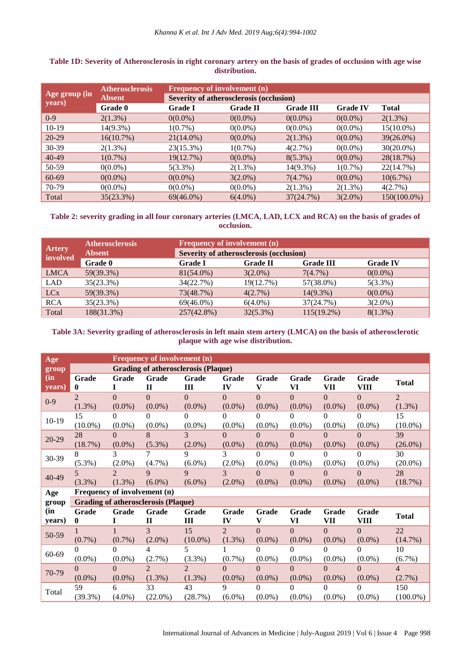|               | <b>Atherosclerosis</b> | <b>Frequency of involvement (n)</b>     |                 |                  |                 |              |  |  |  |  |
|---------------|------------------------|-----------------------------------------|-----------------|------------------|-----------------|--------------|--|--|--|--|
| Age group (in | <b>Absent</b>          | Severity of atherosclerosis (occlusion) |                 |                  |                 |              |  |  |  |  |
| years)        | Grade 0                | <b>Grade I</b>                          | <b>Grade II</b> | <b>Grade III</b> | <b>Grade IV</b> | <b>Total</b> |  |  |  |  |
| $0-9$         | $2(1.3\%)$             | $0(0.0\%)$                              | $0(0.0\%)$      | $0(0.0\%)$       | $0(0.0\%)$      | $2(1.3\%)$   |  |  |  |  |
| $10-19$       | $14(9.3\%)$            | $1(0.7\%)$                              | $0(0.0\%)$      | $0(0.0\%)$       | $0(0.0\%)$      | $15(10.0\%)$ |  |  |  |  |
| $20-29$       | 16(10.7%)              | $21(14.0\%)$                            | $0(0.0\%)$      | $2(1.3\%)$       | $0(0.0\%)$      | 39(26.0%)    |  |  |  |  |
| 30-39         | $2(1.3\%)$             | 23(15.3%)                               | $1(0.7\%)$      | 4(2.7%)          | $0(0.0\%)$      | $30(20.0\%)$ |  |  |  |  |
| 40-49         | $1(0.7\%)$             | 19(12.7%)                               | $0(0.0\%)$      | $8(5.3\%)$       | $0(0.0\%)$      | 28(18.7%)    |  |  |  |  |
| 50-59         | $0(0.0\%)$             | $5(3.3\%)$                              | $2(1.3\%)$      | 14(9.3%)         | $1(0.7\%)$      | 22(14.7%)    |  |  |  |  |
| 60-69         | $0(0.0\%)$             | $0(0.0\%)$                              | $3(2.0\%)$      | 7(4.7%)          | $0(0.0\%)$      | 10(6.7%)     |  |  |  |  |
| 70-79         | $0(0.0\%)$             | $0(0.0\%)$                              | $0(0.0\%)$      | $2(1.3\%)$       | $2(1.3\%)$      | 4(2.7%)      |  |  |  |  |
| Total         | 35(23.3%)              | $69(46.0\%)$                            | $6(4.0\%)$      | 37(24.7%)        | $3(2.0\%)$      | 150(100.0%)  |  |  |  |  |

## **Table 1D: Severity of Atherosclerosis in right coronary artery on the basis of grades of occlusion with age wise distribution.**

## **Table 2: severity grading in all four coronary arteries (LMCA, LAD, LCX and RCA) on the basis of grades of occlusion.**

| <b>Artery</b>          | <b>Atherosclerosis</b><br><b>Absent</b> | <b>Frequency of involvement (n)</b><br>Severity of atherosclerosis (occlusion) |                 |                  |                 |  |  |  |
|------------------------|-----------------------------------------|--------------------------------------------------------------------------------|-----------------|------------------|-----------------|--|--|--|
| involved               | <b>Grade 0</b>                          | <b>Grade I</b>                                                                 | <b>Grade II</b> | <b>Grade III</b> | <b>Grade IV</b> |  |  |  |
| <b>LMCA</b>            | 59(39.3%)                               | $81(54.0\%)$                                                                   | $3(2.0\%)$      | $7(4.7\%)$       | $0(0.0\%)$      |  |  |  |
| <b>LAD</b>             | 35(23.3%)                               | 34(22.7%)                                                                      | 19(12.7%)       | 57(38.0%)        | $5(3.3\%)$      |  |  |  |
| <b>LC</b> <sub>x</sub> | 59(39.3%)                               | 73(48.7%)                                                                      | 4(2.7%)         | $14(9.3\%)$      | $0(0.0\%)$      |  |  |  |
| <b>RCA</b>             | 35(23.3%)                               | $69(46.0\%)$                                                                   | $6(4.0\%)$      | 37(24.7%)        | $3(2.0\%)$      |  |  |  |
| Total                  | 188(31.3%)                              | $257(42.8\%)$                                                                  | $32(5.3\%)$     | $115(19.2\%)$    | $8(1.3\%)$      |  |  |  |

## Table 3A: Severity grading of atherosclerosis in left main stem artery (LMCA) on the basis of atherosclerotic **plaque with age wise distribution.**

| Age           |                             |                             | <b>Frequency of involvement (n)</b>        |                                            |                                       |                             |                             |                       |                       |                          |
|---------------|-----------------------------|-----------------------------|--------------------------------------------|--------------------------------------------|---------------------------------------|-----------------------------|-----------------------------|-----------------------|-----------------------|--------------------------|
| group         |                             |                             |                                            | <b>Grading of atherosclerosis (Plaque)</b> |                                       |                             |                             |                       |                       |                          |
| (in<br>years) | Grade<br>0                  | Grade                       | Grade<br>$\mathbf I$                       | Grade<br>Ш                                 | Grade<br>IV                           | Grade<br>V                  | Grade<br>VI                 | Grade<br>VII          | Grade<br>VIII         | <b>Total</b>             |
| $0-9$         | $\mathfrak{D}$<br>$(1.3\%)$ | $\theta$<br>$(0.0\%)$       | $\Omega$<br>$(0.0\%)$                      | $\Omega$<br>$(0.0\%)$                      | $\theta$<br>$(0.0\%)$                 | $\overline{0}$<br>$(0.0\%)$ | $\overline{0}$<br>$(0.0\%)$ | $\theta$<br>$(0.0\%)$ | $\Omega$<br>$(0.0\%)$ | $\mathfrak{D}$<br>(1.3%) |
| 10-19         | 15<br>$(10.0\%)$            | 0<br>$(0.0\%)$              | 0<br>$(0.0\%)$                             | 0<br>$(0.0\%)$                             | $\Omega$<br>$(0.0\%)$                 | 0<br>$(0.0\%)$              | 0<br>$(0.0\%)$              | 0<br>$(0.0\%)$        | 0<br>$(0.0\%)$        | 15<br>$(10.0\%)$         |
| 20-29         | 28<br>(18.7%)               | $\Omega$<br>$(0.0\%)$       | 8<br>$(5.3\%)$                             | 3<br>$(2.0\%)$                             | $\Omega$<br>$(0.0\%)$                 | $\Omega$<br>$(0.0\%)$       | $\Omega$<br>$(0.0\%)$       | $\Omega$<br>$(0.0\%)$ | $\Omega$<br>$(0.0\%)$ | 39<br>$(26.0\%)$         |
| 30-39         | 8<br>$(5.3\%)$              | 3<br>$(2.0\%)$              | 7<br>$(4.7\%)$                             | 9<br>$(6.0\%)$                             | 3<br>$(2.0\%)$                        | 0<br>$(0.0\%)$              | $\Omega$<br>$(0.0\%)$       | 0<br>$(0.0\%)$        | 0<br>$(0.0\%)$        | 30<br>$(20.0\%)$         |
| 40-49         | $\mathcal{F}$<br>$(3.3\%)$  | $\mathfrak{D}$<br>$(1.3\%)$ | 9<br>$(6.0\%)$                             | 9<br>$(6.0\%)$                             | $\overline{\mathcal{E}}$<br>$(2.0\%)$ | $\Omega$<br>$(0.0\%)$       | $\Omega$<br>$(0.0\%)$       | 0<br>$(0.0\%)$        | $\Omega$<br>$(0.0\%)$ | 28<br>(18.7%)            |
| Age           |                             |                             | Frequency of involvement (n)               |                                            |                                       |                             |                             |                       |                       |                          |
| group         |                             |                             | <b>Grading of atherosclerosis (Plaque)</b> |                                            |                                       |                             |                             |                       |                       |                          |
| (in<br>years) | Grade<br>0                  | Grade                       | Grade<br>$\mathbf I$                       | Grade<br>Ш                                 | Grade<br>IV                           | Grade<br>V                  | Grade<br>VI                 | <b>Grade</b><br>VII   | Grade<br><b>VIII</b>  | <b>Total</b>             |
| 50-59         | $(0.7\%)$                   | $(0.7\%)$                   | 3<br>$(2.0\%)$                             | 15<br>$(10.0\%)$                           | 2<br>(1.3%)                           | $\overline{0}$<br>$(0.0\%)$ | $\overline{0}$<br>$(0.0\%)$ | $\Omega$<br>$(0.0\%)$ | $\Omega$<br>$(0.0\%)$ | 22<br>(14.7%)            |
| 60-69         | 0<br>$(0.0\%)$              | 0<br>$(0.0\%)$              | 4<br>(2.7%)                                | 5<br>$(3.3\%)$                             | $(0.7\%)$                             | 0<br>$(0.0\%)$              | 0<br>$(0.0\%)$              | 0<br>$(0.0\%)$        | 0<br>$(0.0\%)$        | 10<br>(6.7%)             |
| 70-79         | $\Omega$<br>$(0.0\%)$       | $\Omega$<br>$(0.0\%)$       | $\mathfrak{D}$<br>(1.3%)                   | $\mathfrak{D}$<br>$(1.3\%)$                | $\Omega$<br>$(0.0\%)$                 | $\Omega$<br>$(0.0\%)$       | $\Omega$<br>$(0.0\%)$       | $\Omega$<br>$(0.0\%)$ | $\Omega$<br>$(0.0\%)$ | $\overline{4}$<br>(2.7%) |
| Total         | 59<br>(39.3%)               | 6<br>$(4.0\%)$              | 33<br>$(22.0\%)$                           | 43<br>(28.7%)                              | 9<br>$(6.0\%)$                        | $\Omega$<br>$(0.0\%)$       | $\Omega$<br>$(0.0\%)$       | 0<br>$(0.0\%)$        | $\Omega$<br>$(0.0\%)$ | 150<br>$(100.0\%)$       |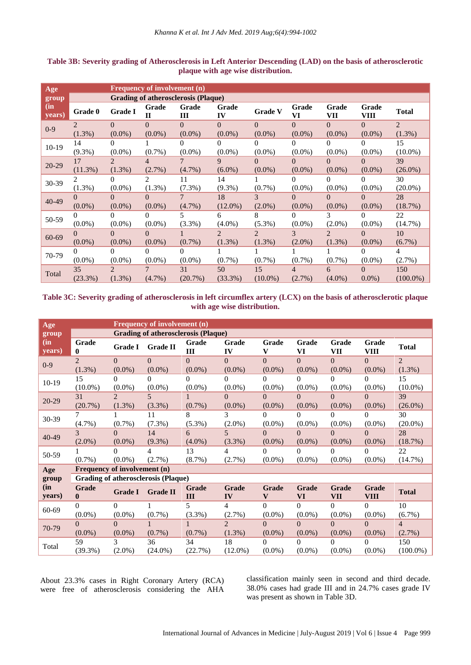| Age           |                |                             | <b>Frequency of involvement (n)</b> |                                     |                |                |             |                |               |                |
|---------------|----------------|-----------------------------|-------------------------------------|-------------------------------------|----------------|----------------|-------------|----------------|---------------|----------------|
| group         |                |                             |                                     | Grading of atherosclerosis (Plaque) |                |                |             |                |               |                |
| (in<br>years) | Grade 0        | <b>Grade I</b>              | Grade<br>$\mathbf{I}$               | Grade<br>III                        | Grade<br>IV    | <b>Grade V</b> | Grade<br>VI | Grade<br>VII   | Grade<br>VIII | <b>Total</b>   |
| $0 - 9$       | $\mathfrak{D}$ | $\Omega$                    | $\Omega$                            | $\Omega$                            | $\Omega$       | $\theta$       | $\Omega$    | $\Omega$       | $\Omega$      | $\overline{2}$ |
|               | $(1.3\%)$      | $(0.0\%)$                   | $(0.0\%)$                           | $(0.0\%)$                           | $(0.0\%)$      | $(0.0\%)$      | $(0.0\%)$   | $(0.0\%)$      | $(0.0\%)$     | $(1.3\%)$      |
| 10-19         | 14             | $\Omega$                    |                                     | 0                                   | 0              | 0              | 0           | $\Omega$       | 0             | 15             |
|               | $(9.3\%)$      | $(0.0\%)$                   | $(0.7\%)$                           | $(0.0\%)$                           | $(0.0\%)$      | $(0.0\%)$      | $(0.0\%)$   | $(0.0\%)$      | $(0.0\%)$     | $(10.0\%)$     |
| $20 - 29$     | 17             | $\mathcal{D}_{\mathcal{L}}$ | $\overline{4}$                      |                                     | 9              | $\theta$       | $\theta$    | $\Omega$       | 0             | 39             |
|               | (11.3%)        | $(1.3\%)$                   | (2.7%)                              | $(4.7\%)$                           | $(6.0\%)$      | $(0.0\%)$      | $(0.0\%)$   | $(0.0\%)$      | $(0.0\%)$     | $(26.0\%)$     |
| 30-39         |                | 0                           | $\overline{2}$                      | 11                                  | 14             |                | 0           | $\Omega$       | 0             | 30             |
|               | $(1.3\%)$      | $(0.0\%)$                   | $(1.3\%)$                           | $(7.3\%)$                           | $(9.3\%)$      | $(0.7\%)$      | $(0.0\%)$   | $(0.0\%)$      | $(0.0\%)$     | $(20.0\%)$     |
| $40 - 49$     | $\Omega$       | $\Omega$                    | $\Omega$                            | 7                                   | 18             | 3              | $\Omega$    | $\Omega$       | $\Omega$      | 28             |
|               | $(0.0\%)$      | $(0.0\%)$                   | $(0.0\%)$                           | $(4.7\%)$                           | $(12.0\%)$     | $(2.0\%)$      | $(0.0\%)$   | $(0.0\%)$      | $(0.0\%)$     | (18.7%)        |
| 50-59         | 0              | $\Omega$                    | 0                                   | 5                                   | 6              | 8              | 0           | 3              | $\Omega$      | 22             |
|               | $(0.0\%)$      | $(0.0\%)$                   | $(0.0\%)$                           | $(3.3\%)$                           | $(4.0\%)$      | $(5.3\%)$      | $(0.0\%)$   | $(2.0\%)$      | $(0.0\%)$     | $(14.7\%)$     |
| 60-69         | 0              | $\Omega$                    | $\Omega$                            |                                     | $\overline{2}$ | $\overline{2}$ | 3           | $\overline{2}$ | 0             | 10             |
|               | $(0.0\%)$      | $(0.0\%)$                   | $(0.0\%)$                           | $(0.7\%)$                           | $(1.3\%)$      | $(1.3\%)$      | $(2.0\%)$   | $(1.3\%)$      | $(0.0\%)$     | $(6.7\%)$      |
| 70-79         | 0              | $\Omega$                    | 0                                   | 0                                   |                |                |             |                | 0             | 4              |
|               | $(0.0\%)$      | $(0.0\%)$                   | $(0.0\%)$                           | $(0.0\%)$                           | $(0.7\%)$      | $(0.7\%)$      | $(0.7\%)$   | $(0.7\%)$      | $(0.0\%)$     | $(2.7\%)$      |
|               | 35             | $\mathfrak{D}$              |                                     | 31                                  | 50             | 15             | 4           | 6              | $\Omega$      | 150            |
| Total         | (23.3%)        | $(1.3\%)$                   | $(4.7\%)$                           | (20.7%)                             | $(33.3\%)$     | $(10.0\%)$     | $(2.7\%)$   | $(4.0\%)$      | $0.0\%$ )     | $(100.0\%)$    |

#### **Table 3B: Severity grading of Atherosclerosis in Left Anterior Descending (LAD) on the basis of atherosclerotic plaque with age wise distribution.**

## **Table 3C: Severity grading of atherosclerosis in left circumflex artery (LCX) on the basis of atherosclerotic plaque with age wise distribution.**

| Age           |                       |                              | Frequency of involvement (n)               |              |                |                                  |                    |              |                      |                |
|---------------|-----------------------|------------------------------|--------------------------------------------|--------------|----------------|----------------------------------|--------------------|--------------|----------------------|----------------|
| group         |                       |                              | <b>Grading of atherosclerosis (Plaque)</b> |              |                |                                  |                    |              |                      |                |
| (in<br>years) | Grade<br>$\mathbf{0}$ | <b>Grade I</b>               | <b>Grade II</b>                            | Grade<br>Ш   | Grade<br>IV    | Grade<br>V                       | Grade<br>VI        | Grade<br>VII | Grade<br><b>VIII</b> | <b>Total</b>   |
| $0-9$         | $\overline{2}$        | $\Omega$                     | $\Omega$                                   | $\Omega$     | $\Omega$       | $\Omega$                         | $\Omega$           | $\Omega$     | $\Omega$             | $\overline{2}$ |
|               | $(1.3\%)$             | $(0.0\%)$                    | $(0.0\%)$                                  | $(0.0\%)$    | $(0.0\%)$      | $(0.0\%)$                        | $(0.0\%)$          | $(0.0\%)$    | $(0.0\%)$            | (1.3%)         |
| $10 - 19$     | 15                    | $\Omega$                     | $\Omega$                                   | $\Omega$     | $\Omega$       | $\Omega$                         | $\Omega$           | $\Omega$     | $\Omega$             | 15             |
|               | $(10.0\%)$            | $(0.0\%)$                    | $(0.0\%)$                                  | $(0.0\%)$    | $(0.0\%)$      | $(0.0\%)$                        | $(0.0\%)$          | $(0.0\%)$    | $(0.0\%)$            | $(10.0\%)$     |
| 20-29         | 31                    | $\mathcal{D}_{\mathcal{L}}$  | 5                                          |              | $\theta$       | $\Omega$                         | $\Omega$           | $\Omega$     | $\Omega$             | 39             |
|               | (20.7%)               | $(1.3\%)$                    | $(3.3\%)$                                  | $(0.7\%)$    | $(0.0\%)$      | $(0.0\%)$                        | $(0.0\%)$          | $(0.0\%)$    | $(0.0\%)$            | $(26.0\%)$     |
| 30-39         | 7                     |                              | 11                                         | 8            | 3              | $\Omega$                         | $\Omega$           | $\Omega$     | $\Omega$             | 30             |
|               | (4.7%)                | $(0.7\%)$                    | $(7.3\%)$                                  | $(5.3\%)$    | $(2.0\%)$      | $(0.0\%)$                        | $(0.0\%)$          | $(0.0\%)$    | $(0.0\%)$            | $(20.0\%)$     |
| 40-49         | 3                     | $\Omega$                     | 14                                         | 6            | 5              | $\Omega$                         | $\Omega$           | $\Omega$     | $\Omega$             | 28             |
|               | $(2.0\%)$             | $(0.0\%)$                    | $(9.3\%)$                                  | $(4.0\%)$    | $(3.3\%)$      | $(0.0\%)$                        | $(0.0\%)$          | $(0.0\%)$    | $(0.0\%)$            | (18.7%)        |
| 50-59         |                       | $\Omega$                     | $\overline{4}$                             | 13           | 4              | $\Omega$                         | $\Omega$           | $\Omega$     | $\Omega$             | 22             |
|               | $(0.7\%)$             | $(0.0\%)$                    | $(2.7\%)$                                  | (8.7%)       | (2.7%)         | $(0.0\%)$                        | $(0.0\%)$          | $(0.0\%)$    | $(0.0\%)$            | (14.7%)        |
| Age           |                       | Frequency of involvement (n) |                                            |              |                |                                  |                    |              |                      |                |
| group         |                       |                              | Grading of atherosclerosis (Plaque)        |              |                |                                  |                    |              |                      |                |
| (in<br>years) | Grade<br>$\mathbf{0}$ | <b>Grade I</b>               | <b>Grade II</b>                            | Grade<br>III | Grade<br>IV    | Grade<br>$\overline{\mathbf{V}}$ | Grade<br><b>VI</b> | Grade<br>VII | Grade<br><b>VIII</b> | <b>Total</b>   |
| 60-69         | $\Omega$              | $\Omega$                     |                                            | 5            | 4              | $\Omega$                         | $\Omega$           | $\Omega$     | $\Omega$             | 10             |
|               | $(0.0\%)$             | $(0.0\%)$                    | $(0.7\%)$                                  | (3.3%)       | (2.7%)         | $(0.0\%)$                        | $(0.0\%)$          | $(0.0\%)$    | $(0.0\%)$            | $(6.7\%)$      |
| 70-79         | $\Omega$              | $\Omega$                     |                                            |              | $\overline{2}$ | $\Omega$                         | $\theta$           | $\Omega$     | $\Omega$             | $\overline{4}$ |
|               | $(0.0\%)$             | $(0.0\%)$                    | $(0.7\%)$                                  | $(0.7\%)$    | $(1.3\%)$      | $(0.0\%)$                        | $(0.0\%)$          | $(0.0\%)$    | $(0.0\%)$            | (2.7%)         |
| Total         | 59                    | 3                            | 36                                         | 34           | 18             | $\Omega$                         | $\Omega$           | $\Omega$     | $\Omega$             | 150            |
|               | (39.3%)               | $(2.0\%)$                    | $(24.0\%)$                                 | (22.7%)      | $(12.0\%)$     | $(0.0\%)$                        | $(0.0\%)$          | $(0.0\%)$    | $(0.0\%)$            | $(100.0\%)$    |

About 23.3% cases in Right Coronary Artery (RCA) were free of atherosclerosis considering the AHA classification mainly seen in second and third decade. 38.0% cases had grade III and in 24.7% cases grade IV was present as shown in Table 3D.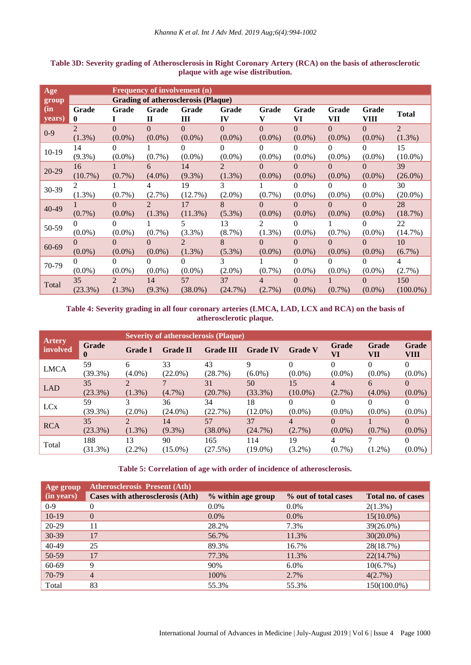| Age           |                         |                       |                             | <b>Frequency of involvement (n)</b>        |                       |                       |                       |                       |                       |                          |
|---------------|-------------------------|-----------------------|-----------------------------|--------------------------------------------|-----------------------|-----------------------|-----------------------|-----------------------|-----------------------|--------------------------|
| group         |                         |                       |                             | <b>Grading of atherosclerosis (Plaque)</b> |                       |                       |                       |                       |                       |                          |
| (in<br>years) | Grade<br>0              | Grade                 | Grade<br>$\mathbf H$        | Grade<br>Ш                                 | Grade<br>IV           | Grade<br>v            | Grade<br>VI           | Grade<br>VII          | Grade<br>VIII         | <b>Total</b>             |
| $0 - 9$       | $\mathcal{L}$<br>(1.3%) | $\Omega$<br>$(0.0\%)$ | $\Omega$<br>$(0.0\%)$       | $\Omega$<br>$(0.0\%)$                      | $\Omega$<br>$(0.0\%)$ | $\Omega$<br>$(0.0\%)$ | $\Omega$<br>$(0.0\%)$ | $\Omega$<br>$(0.0\%)$ | 0<br>$(0.0\%)$        | $\mathfrak{D}$<br>(1.3%) |
| $10-19$       | 14<br>$(9.3\%)$         | 0<br>$(0.0\%)$        | $(0.7\%)$                   | 0<br>$(0.0\%)$                             | 0<br>$(0.0\%)$        | $\Omega$<br>$(0.0\%)$ | 0<br>$(0.0\%)$        | 0<br>$(0.0\%)$        | $(0.0\%)$             | 15<br>$(10.0\%)$         |
| 20-29         | 16<br>$(10.7\%)$        | $(0.7\%)$             | 6<br>$(4.0\%)$              | 14<br>$(9.3\%)$                            | 2<br>$(1.3\%)$        | $\Omega$<br>$(0.0\%)$ | 0<br>$(0.0\%)$        | $\Omega$<br>$(0.0\%)$ | 0<br>$(0.0\%)$        | 39<br>$(26.0\%)$         |
| 30-39         | 2<br>$(1.3\%)$          | $(0.7\%)$             | 4<br>$(2.7\%)$              | 19<br>$(12.7\%)$                           | 3<br>$(2.0\%)$        | $(0.7\%)$             | $\Omega$<br>$(0.0\%)$ | 0<br>$(0.0\%)$        | 0<br>$(0.0\%)$        | 30<br>$(20.0\%)$         |
| 40-49         | $(0.7\%)$               | $\Omega$<br>$(0.0\%)$ | $\mathfrak{D}$<br>$(1.3\%)$ | 17<br>$(11.3\%)$                           | 8<br>$(5.3\%)$        | $\Omega$<br>$(0.0\%)$ | 0<br>$(0.0\%)$        | $\Omega$<br>$(0.0\%)$ | $\Omega$<br>$(0.0\%)$ | 28<br>(18.7%)            |
| 50-59         | 0<br>$(0.0\%)$          | $\Omega$<br>$(0.0\%)$ | $(0.7\%)$                   | 5<br>$(3.3\%)$                             | 13<br>$(8.7\%)$       | 2<br>$(1.3\%)$        | 0<br>$(0.0\%)$        | $(0.7\%)$             | 0<br>$(0.0\%)$        | 22<br>$(14.7\%)$         |
| $60 - 69$     | $\Omega$<br>$(0.0\%)$   | $\Omega$<br>$(0.0\%)$ | $\Omega$<br>$(0.0\%)$       | $\mathcal{L}$<br>(1.3%)                    | 8<br>$(5.3\%)$        | $\Omega$<br>$(0.0\%)$ | $\Omega$<br>$(0.0\%)$ | $\Omega$<br>$(0.0\%)$ | 0<br>$(0.0\%)$        | 10<br>$(6.7\%)$          |
| 70-79         | 0<br>$(0.0\%)$          | 0<br>$(0.0\%)$        | 0<br>$(0.0\%)$              | $\Omega$<br>$(0.0\%)$                      | 3<br>$(2.0\%)$        | $(0.7\%)$             | 0<br>$(0.0\%)$        | 0<br>$(0.0\%)$        | $(0.0\%)$             | 4<br>(2.7%)              |
| Total         | 35<br>(23.3%)           | 2<br>$(1.3\%)$        | 14<br>$(9.3\%)$             | 57<br>$(38.0\%)$                           | 37<br>(24.7%)         | 4<br>$(2.7\%)$        | 0<br>$(0.0\%)$        | $(0.7\%)$             | $\Omega$<br>$(0.0\%)$ | 150<br>$(100.0\%)$       |

## **Table 3D: Severity grading of Atherosclerosis in Right Coronary Artery (RCA) on the basis of atherosclerotic plaque with age wise distribution.**

## **Table 4: Severity grading in all four coronary arteries (LMCA, LAD, LCX and RCA) on the basis of atherosclerotic plaque.**

|                           |                   |                             | <b>Severity of atherosclerosis (Plaque)</b> |                  |                 |                |                |              |               |
|---------------------------|-------------------|-----------------------------|---------------------------------------------|------------------|-----------------|----------------|----------------|--------------|---------------|
| <b>Artery</b><br>involved | <b>Grade</b><br>v | <b>Grade I</b>              | <b>Grade II</b>                             | <b>Grade III</b> | <b>Grade IV</b> | <b>Grade V</b> | Grade<br>VI    | Grade<br>VII | Grade<br>VIII |
| <b>LMCA</b>               | 59                | 6                           | 33                                          | 43               | Q               |                |                |              |               |
|                           | $(39.3\%)$        | $(4.0\%)$                   | $(22.0\%)$                                  | (28.7%)          | $(6.0\%)$       | $(0.0\%)$      | $(0.0\%)$      | $(0.0\%)$    | $(0.0\%)$     |
| <b>LAD</b>                | 35                |                             |                                             | 31               | 50              | 15             | $\overline{4}$ | 6            | $\Omega$      |
|                           | (23.3%)           | $(1.3\%)$                   | $(4.7\%)$                                   | (20.7%)          | $(33.3\%)$      | $(10.0\%)$     | $(2.7\%)$      | $(4.0\%)$    | $(0.0\%)$     |
| LC <sub>x</sub>           | 59                |                             | 36                                          | 34               | 18              | $\Omega$       |                |              | 0             |
|                           | $(39.3\%)$        | $(2.0\%)$                   | $(24.0\%)$                                  | (22.7%)          | $(12.0\%)$      | $(0.0\%)$      | $(0.0\%)$      | $(0.0\%)$    | $(0.0\%)$     |
|                           | 35                | $\mathcal{D}_{\mathcal{L}}$ | 14                                          | 57               | 37              | 4              | $\Omega$       |              | $\Omega$      |
| <b>RCA</b>                | $(23.3\%)$        | $(1.3\%)$                   | $(9.3\%)$                                   | $(38.0\%)$       | (24.7%)         | $(2.7\%)$      | $(0.0\%)$      | $(0.7\%)$    | $(0.0\%)$     |
|                           | 188               | 13                          | 90                                          | 165              | 114             | 19             | 4              |              | 0             |
| Total                     | $(31.3\%)$        | $(2.2\%)$                   | $(15.0\%)$                                  | (27.5%)          | $(19.0\%)$      | $(3.2\%)$      | $(0.7\%)$      | $(1.2\%)$    | $(0.0\%)$     |

#### **Table 5: Correlation of age with order of incidence of atherosclerosis.**

| Age group  | <b>Atherosclerosis Present (Ath)</b> |                    |                      |                    |
|------------|--------------------------------------|--------------------|----------------------|--------------------|
| (in years) | Cases with atherosclerosis (Ath)     | % within age group | % out of total cases | Total no. of cases |
| $0 - 9$    |                                      | $0.0\%$            | $0.0\%$              | $2(1.3\%)$         |
| $10-19$    | $\Omega$                             | $0.0\%$            | $0.0\%$              | $15(10.0\%)$       |
| 20-29      | 11                                   | 28.2%              | 7.3%                 | 39(26.0%)          |
| 30-39      | 17                                   | 56.7%              | 11.3%                | $30(20.0\%)$       |
| 40-49      | 25                                   | 89.3%              | 16.7%                | 28(18.7%)          |
| 50-59      | 17                                   | 77.3%              | 11.3%                | 22(14.7%)          |
| 60-69      | 9                                    | 90%                | $6.0\%$              | 10(6.7%)           |
| 70-79      | $\overline{4}$                       | 100%               | 2.7%                 | $4(2.7\%)$         |
| Total      | 83                                   | 55.3%              | 55.3%                | 150(100.0%)        |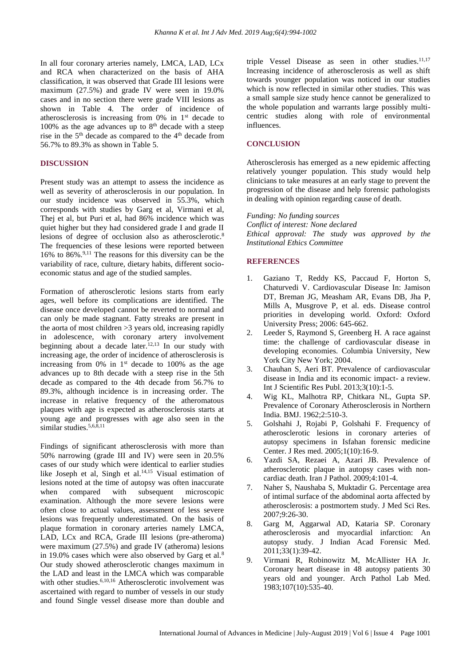In all four coronary arteries namely, LMCA, LAD, LCx and RCA when characterized on the basis of AHA classification, it was observed that Grade III lesions were maximum (27.5%) and grade IV were seen in 19.0% cases and in no section there were grade VIII lesions as shown in Table 4. The order of incidence of atherosclerosis is increasing from 0% in 1st decade to 100% as the age advances up to  $8<sup>th</sup>$  decade with a steep rise in the  $5<sup>th</sup>$  decade as compared to the  $4<sup>th</sup>$  decade from 56.7% to 89.3% as shown in Table 5.

#### **DISCUSSION**

Present study was an attempt to assess the incidence as well as severity of atherosclerosis in our population. In our study incidence was observed in 55.3%, which corresponds with studies by Garg et al, Virmani et al, Thej et al, but Puri et al, had 86% incidence which was quiet higher but they had considered grade I and grade II lesions of degree of occlusion also as atherosclerotic.<sup>8</sup> The frequencies of these lesions were reported between 16% to 86%.9,11 The reasons for this diversity can be the variability of race, culture, dietary habits, different socioeconomic status and age of the studied samples.

Formation of atherosclerotic lesions starts from early ages, well before its complications are identified. The disease once developed cannot be reverted to normal and can only be made stagnant. Fatty streaks are present in the aorta of most children >3 years old, increasing rapidly in adolescence, with coronary artery involvement beginning about a decade later.<sup>12,13</sup> In our study with increasing age, the order of incidence of atherosclerosis is increasing from 0% in  $1<sup>st</sup>$  decade to 100% as the age advances up to 8th decade with a steep rise in the 5th decade as compared to the 4th decade from 56.7% to 89.3%, although incidence is in increasing order. The increase in relative frequency of the atheromatous plaques with age is expected as atherosclerosis starts at young age and progresses with age also seen in the similar studies.<sup>5,6,8,11</sup>

Findings of significant atherosclerosis with more than 50% narrowing (grade III and IV) were seen in 20.5% cases of our study which were identical to earlier studies like Joseph et al, Singh et al. 14,15 Visual estimation of lesions noted at the time of autopsy was often inaccurate when compared with subsequent microscopic examination. Although the more severe lesions were often close to actual values, assessment of less severe lesions was frequently underestimated. On the basis of plaque formation in coronary arteries namely LMCA, LAD, LCx and RCA, Grade III lesions (pre-atheroma) were maximum (27.5%) and grade IV (atheroma) lesions in 19.0% cases which were also observed by Garg et al.<sup>8</sup> Our study showed atherosclerotic changes maximum in the LAD and least in the LMCA which was comparable with other studies.<sup>6,10,16</sup> Atherosclerotic involvement was ascertained with regard to number of vessels in our study and found Single vessel disease more than double and triple Vessel Disease as seen in other studies.<sup>11,17</sup> Increasing incidence of atherosclerosis as well as shift towards younger population was noticed in our studies which is now reflected in similar other studies. This was a small sample size study hence cannot be generalized to the whole population and warrants large possibly multicentric studies along with role of environmental influences.

#### **CONCLUSION**

Atherosclerosis has emerged as a new epidemic affecting relatively younger population. This study would help clinicians to take measures at an early stage to prevent the progression of the disease and help forensic pathologists in dealing with opinion regarding cause of death.

## *Funding: No funding sources*

*Conflict of interest: None declared Ethical approval: The study was approved by the Institutional Ethics Committee*

#### **REFERENCES**

- 1. Gaziano T, Reddy KS, Paccaud F, Horton S, Chaturvedi V. Cardiovascular Disease In: Jamison DT, Breman JG, Measham AR, Evans DB, Jha P, Mills A, Musgrove P, et al. eds. Disease control priorities in developing world. Oxford: Oxford University Press; 2006: 645-662.
- 2. Leeder S, Raymond S, Greenberg H. A race against time: the challenge of cardiovascular disease in developing economies. Columbia University, New York City New York; 2004.
- 3. Chauhan S, Aeri BT. Prevalence of cardiovascular disease in India and its economic impact- a review. Int J Scientific Res Publ. 2013;3(10):1-5.
- 4. Wig KL, Malhotra RP, Chitkara NL, Gupta SP. Prevalence of Coronary Atherosclerosis in Northern India. BMJ. 1962;2:510-3.
- 5. Golshahi J, Rojabi P, Golshahi F. Frequency of atherosclerotic lesions in coronary arteries of autopsy specimens in Isfahan forensic medicine Center. J Res med. 2005;1(10):16-9.
- 6. Yazdi SA, Rezaei A, Azari JB. Prevalence of atherosclerotic plaque in autopsy cases with noncardiac death. Iran J Pathol. 2009;4:101-4.
- 7. Naher S, Naushaba S, Muktadir G. Percentage area of intimal surface of the abdominal aorta affected by atherosclerosis: a postmortem study. J Med Sci Res. 2007;9:26-30.
- 8. Garg M, Aggarwal AD, Kataria SP. Coronary atherosclerosis and myocardial infarction: An autopsy study. J Indian Acad Forensic Med. 2011;33(1):39-42.
- 9. Virmani R, Robinowitz M, McAllister HA Jr. Coronary heart disease in 48 autopsy patients 30 years old and younger. Arch Pathol Lab Med. 1983;107(10):535-40.